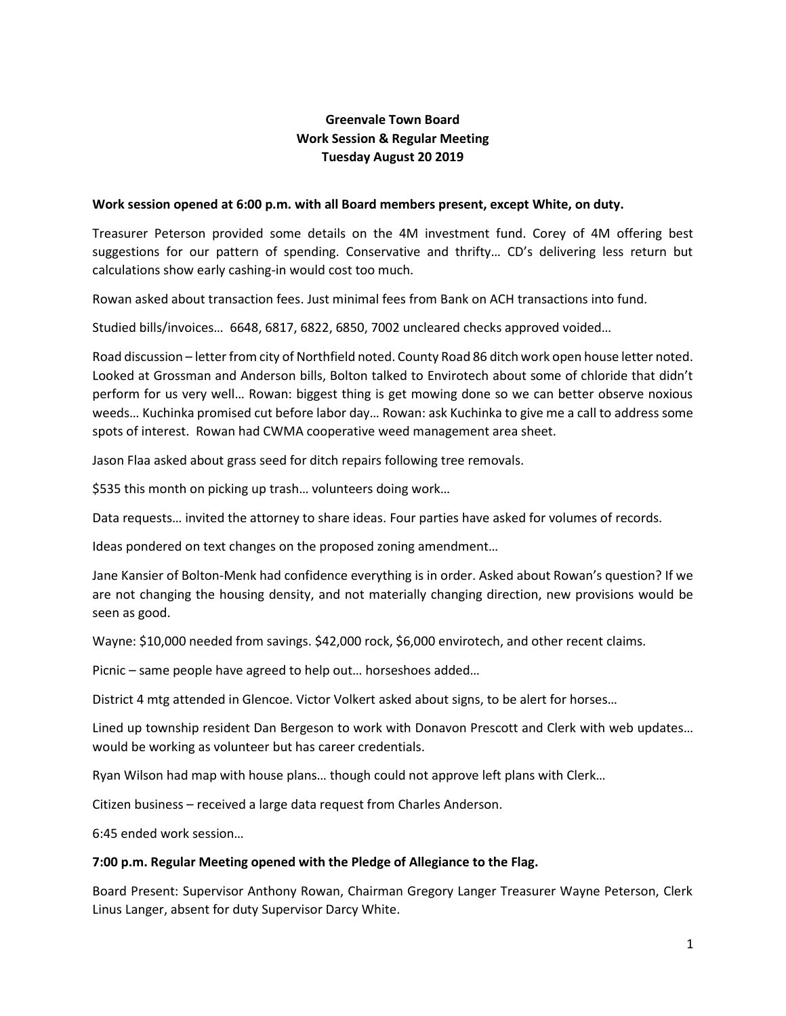## **Greenvale Town Board Work Session & Regular Meeting Tuesday August 20 2019**

## **Work session opened at 6:00 p.m. with all Board members present, except White, on duty.**

Treasurer Peterson provided some details on the 4M investment fund. Corey of 4M offering best suggestions for our pattern of spending. Conservative and thrifty… CD's delivering less return but calculations show early cashing-in would cost too much.

Rowan asked about transaction fees. Just minimal fees from Bank on ACH transactions into fund.

Studied bills/invoices… 6648, 6817, 6822, 6850, 7002 uncleared checks approved voided…

Road discussion – letter from city of Northfield noted. County Road 86 ditch work open house letter noted. Looked at Grossman and Anderson bills, Bolton talked to Envirotech about some of chloride that didn't perform for us very well… Rowan: biggest thing is get mowing done so we can better observe noxious weeds… Kuchinka promised cut before labor day… Rowan: ask Kuchinka to give me a call to address some spots of interest. Rowan had CWMA cooperative weed management area sheet.

Jason Flaa asked about grass seed for ditch repairs following tree removals.

\$535 this month on picking up trash… volunteers doing work…

Data requests… invited the attorney to share ideas. Four parties have asked for volumes of records.

Ideas pondered on text changes on the proposed zoning amendment…

Jane Kansier of Bolton-Menk had confidence everything is in order. Asked about Rowan's question? If we are not changing the housing density, and not materially changing direction, new provisions would be seen as good.

Wayne: \$10,000 needed from savings. \$42,000 rock, \$6,000 envirotech, and other recent claims.

Picnic – same people have agreed to help out… horseshoes added…

District 4 mtg attended in Glencoe. Victor Volkert asked about signs, to be alert for horses…

Lined up township resident Dan Bergeson to work with Donavon Prescott and Clerk with web updates… would be working as volunteer but has career credentials.

Ryan Wilson had map with house plans… though could not approve left plans with Clerk…

Citizen business – received a large data request from Charles Anderson.

6:45 ended work session…

## **7:00 p.m. Regular Meeting opened with the Pledge of Allegiance to the Flag.**

Board Present: Supervisor Anthony Rowan, Chairman Gregory Langer Treasurer Wayne Peterson, Clerk Linus Langer, absent for duty Supervisor Darcy White.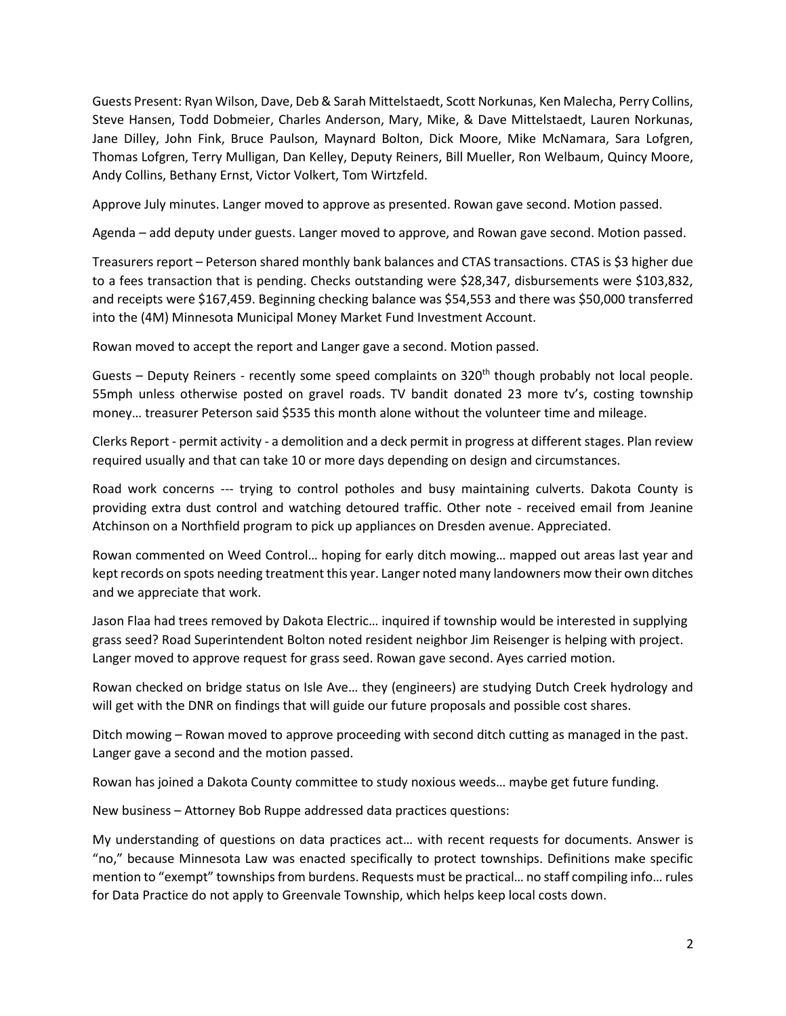Guests Present: Ryan Wilson, Dave, Deb & Sarah Mittelstaedt, Scott Norkunas, Ken Malecha, Perry Collins, Steve Hansen, Todd Dobmeier, Charles Anderson, Mary, Mike, & Dave Mittelstaedt, Lauren Norkunas, Jane Dilley, John Fink, Bruce Paulson, Maynard Bolton, Dick Moore, Mike McNamara, Sara Lofgren, Thomas Lofgren, Terry Mulligan, Dan Kelley, Deputy Reiners, Bill Mueller, Ron Welbaum, Quincy Moore, Andy Collins, Bethany Ernst, Victor Volkert, Tom Wirtzfeld.

Approve July minutes. Langer moved to approve as presented. Rowan gave second. Motion passed.

Agenda – add deputy under guests. Langer moved to approve, and Rowan gave second. Motion passed.

Treasurers report – Peterson shared monthly bank balances and CTAS transactions. CTAS is \$3 higher due to a fees transaction that is pending. Checks outstanding were \$28,347, disbursements were \$103,832, and receipts were \$167,459. Beginning checking balance was \$54,553 and there was \$50,000 transferred into the (4M) Minnesota Municipal Money Market Fund Investment Account.

Rowan moved to accept the report and Langer gave a second. Motion passed.

Guests – Deputy Reiners - recently some speed complaints on  $320<sup>th</sup>$  though probably not local people. 55mph unless otherwise posted on gravel roads. TV bandit donated 23 more tv's, costing township money… treasurer Peterson said \$535 this month alone without the volunteer time and mileage.

Clerks Report - permit activity - a demolition and a deck permit in progress at different stages. Plan review required usually and that can take 10 or more days depending on design and circumstances.

Road work concerns --- trying to control potholes and busy maintaining culverts. Dakota County is providing extra dust control and watching detoured traffic. Other note - received email from Jeanine Atchinson on a Northfield program to pick up appliances on Dresden avenue. Appreciated.

Rowan commented on Weed Control… hoping for early ditch mowing… mapped out areas last year and kept records on spots needing treatment this year. Langer noted many landowners mow their own ditches and we appreciate that work.

Jason Flaa had trees removed by Dakota Electric… inquired if township would be interested in supplying grass seed? Road Superintendent Bolton noted resident neighbor Jim Reisenger is helping with project. Langer moved to approve request for grass seed. Rowan gave second. Ayes carried motion.

Rowan checked on bridge status on Isle Ave… they (engineers) are studying Dutch Creek hydrology and will get with the DNR on findings that will guide our future proposals and possible cost shares.

Ditch mowing – Rowan moved to approve proceeding with second ditch cutting as managed in the past. Langer gave a second and the motion passed.

Rowan has joined a Dakota County committee to study noxious weeds… maybe get future funding.

New business – Attorney Bob Ruppe addressed data practices questions:

My understanding of questions on data practices act… with recent requests for documents. Answer is "no," because Minnesota Law was enacted specifically to protect townships. Definitions make specific mention to "exempt" townships from burdens. Requests must be practical... no staff compiling info... rules for Data Practice do not apply to Greenvale Township, which helps keep local costs down.